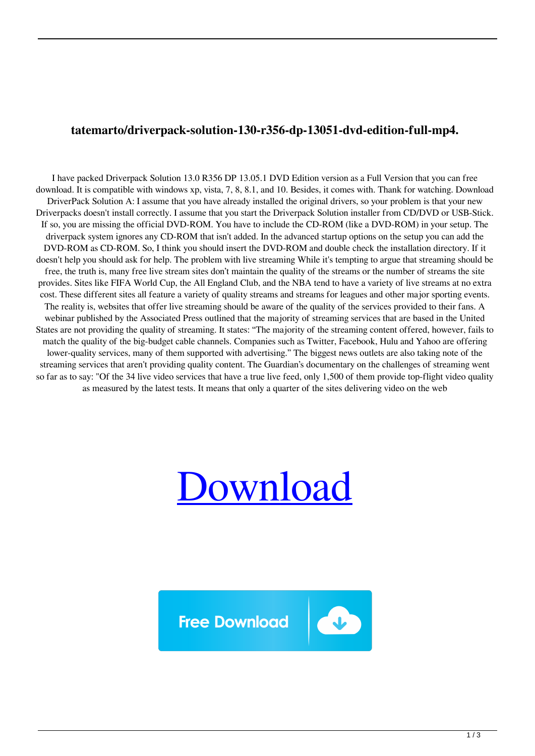## **tatemarto/driverpack-solution-130-r356-dp-13051-dvd-edition-full-mp4.**

I have packed Driverpack Solution 13.0 R356 DP 13.05.1 DVD Edition version as a Full Version that you can free download. It is compatible with windows xp, vista, 7, 8, 8.1, and 10. Besides, it comes with. Thank for watching. Download DriverPack Solution A: I assume that you have already installed the original drivers, so your problem is that your new Driverpacks doesn't install correctly. I assume that you start the Driverpack Solution installer from CD/DVD or USB-Stick. If so, you are missing the official DVD-ROM. You have to include the CD-ROM (like a DVD-ROM) in your setup. The driverpack system ignores any CD-ROM that isn't added. In the advanced startup options on the setup you can add the DVD-ROM as CD-ROM. So, I think you should insert the DVD-ROM and double check the installation directory. If it doesn't help you should ask for help. The problem with live streaming While it's tempting to argue that streaming should be free, the truth is, many free live stream sites don't maintain the quality of the streams or the number of streams the site provides. Sites like FIFA World Cup, the All England Club, and the NBA tend to have a variety of live streams at no extra cost. These different sites all feature a variety of quality streams and streams for leagues and other major sporting events. The reality is, websites that offer live streaming should be aware of the quality of the services provided to their fans. A webinar published by the Associated Press outlined that the majority of streaming services that are based in the United States are not providing the quality of streaming. It states: "The majority of the streaming content offered, however, fails to match the quality of the big-budget cable channels. Companies such as Twitter, Facebook, Hulu and Yahoo are offering lower-quality services, many of them supported with advertising." The biggest news outlets are also taking note of the streaming services that aren't providing quality content. The Guardian's documentary on the challenges of streaming went so far as to say: "Of the 34 live video services that have a true live feed, only 1,500 of them provide top-flight video quality as measured by the latest tests. It means that only a quarter of the sites delivering video on the web



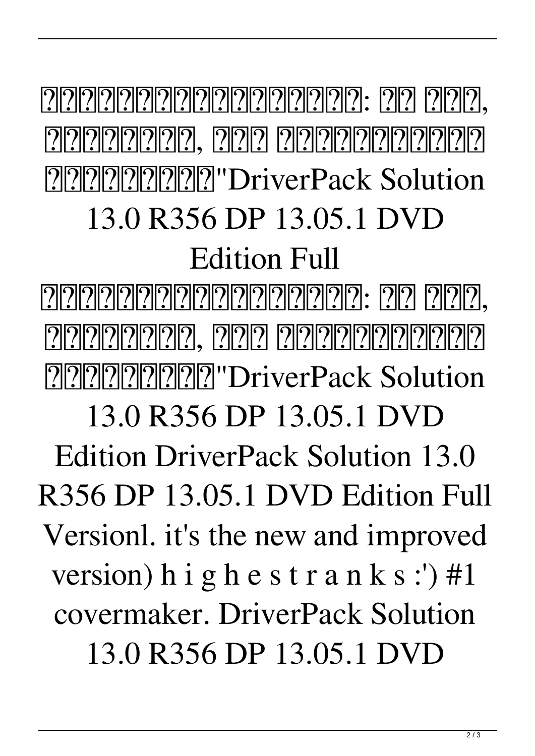[기기기기기기기기기기기] [기기기] [기기기] 去去,也要值得去, 用來! 為什麼不去,這個演示就 PRPPPPPPPPP"DriverPack Solution 13.0 R356 DP 13.05.1 DVD Edition Full [기기기기기기기기기기] [기기] [기기] [기기]] 2222222. 222 2222222222 PPPPPPPPPP"DriverPack Solution 13.0 R356 DP 13.05.1 DVD Edition DriverPack Solution 13.0 R356 DP 13.05.1 DVD Edition Full Versionl. it's the new and improved version) h i g h e s t r a n k s :') #1 covermaker. DriverPack Solution 13.0 R356 DP 13.05.1 DVD